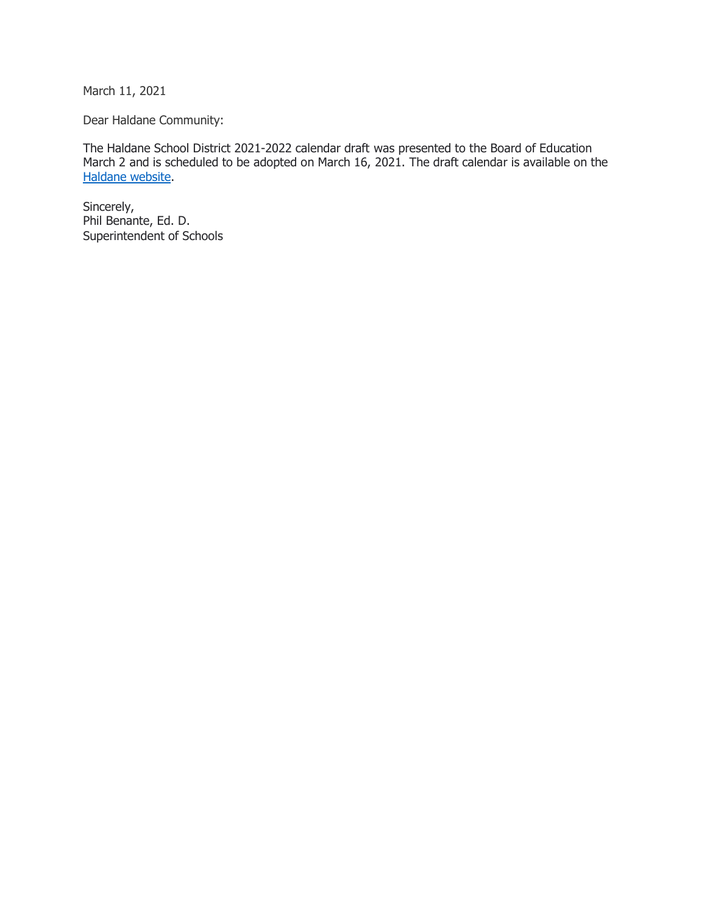March 11, 2021

Dear Haldane Community:

The Haldane School District 2021-2022 calendar draft was presented to the Board of Education March 2 and is scheduled to be adopted on March 16, 2021. The draft calendar is available on the [Haldane website.](https://resources.finalsite.net/images/v1615477000/haldaneschoolorg/mkm9w9b8ptzchzci80fm/HCSDcalendar21-22forapprovalMarch2021.pdf)

Sincerely, Phil Benante, Ed. D. Superintendent of Schools